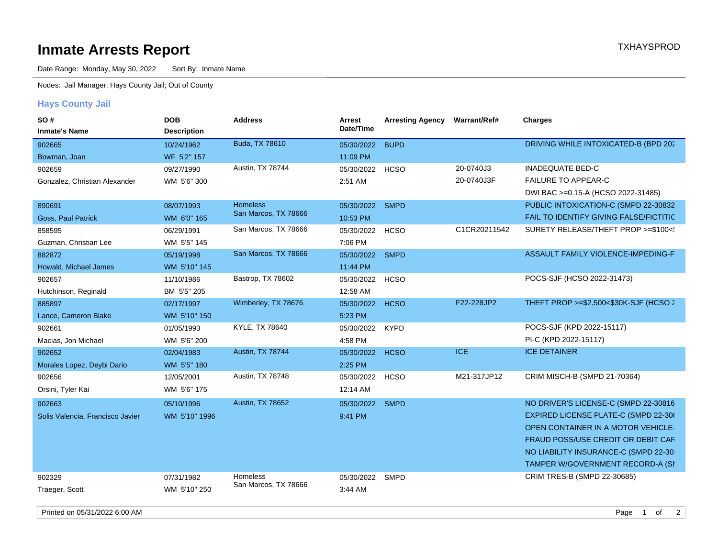## **Inmate Arrests Report TXHAYSPROD Inmate Arrests Report**

Date Range: Monday, May 30, 2022 Sort By: Inmate Name

Nodes: Jail Manager; Hays County Jail; Out of County

## **Hays County Jail**

| SO#<br><b>Inmate's Name</b>      | <b>DOB</b><br><b>Description</b> | <b>Address</b>          | Arrest<br>Date/Time | <b>Arresting Agency</b> | <b>Warrant/Ref#</b> | <b>Charges</b>                         |
|----------------------------------|----------------------------------|-------------------------|---------------------|-------------------------|---------------------|----------------------------------------|
| 902665                           | 10/24/1962                       | Buda, TX 78610          | 05/30/2022          | <b>BUPD</b>             |                     | DRIVING WHILE INTOXICATED-B (BPD 202   |
| Bowman, Joan                     | WF 5'2" 157                      |                         | 11:09 PM            |                         |                     |                                        |
| 902659                           | 09/27/1990                       | Austin, TX 78744        | 05/30/2022          | <b>HCSO</b>             | 20-0740J3           | <b>INADEQUATE BED-C</b>                |
| Gonzalez, Christian Alexander    | WM 5'6" 300                      |                         | 2:51 AM             |                         | 20-0740J3F          | <b>FAILURE TO APPEAR-C</b>             |
|                                  |                                  |                         |                     |                         |                     | DWI BAC >=0.15-A (HCSO 2022-31485)     |
| 890691                           | 08/07/1993                       | <b>Homeless</b>         | 05/30/2022          | <b>SMPD</b>             |                     | PUBLIC INTOXICATION-C (SMPD 22-30832   |
| Goss, Paul Patrick               | WM 6'0" 165                      | San Marcos, TX 78666    | 10:53 PM            |                         |                     | FAIL TO IDENTIFY GIVING FALSE/FICTITIC |
| 858595                           | 06/29/1991                       | San Marcos, TX 78666    | 05/30/2022          | <b>HCSO</b>             | C1CR20211542        | SURETY RELEASE/THEFT PROP >=\$100 </td |
| Guzman, Christian Lee            | WM 5'5" 145                      |                         | 7:06 PM             |                         |                     |                                        |
| 882872                           | 05/19/1998                       | San Marcos, TX 78666    | 05/30/2022 SMPD     |                         |                     | ASSAULT FAMILY VIOLENCE-IMPEDING-F     |
| Howald, Michael James            | WM 5'10" 145                     |                         | 11:44 PM            |                         |                     |                                        |
| 902657                           | 11/10/1986                       | Bastrop, TX 78602       | 05/30/2022          | <b>HCSO</b>             |                     | POCS-SJF (HCSO 2022-31473)             |
| Hutchinson, Reginald             | BM 5'5" 205                      |                         | 12:58 AM            |                         |                     |                                        |
| 885897                           | 02/17/1997                       | Wimberley, TX 78676     | 05/30/2022          | <b>HCSO</b>             | F22-228JP2          | THEFT PROP >=\$2,500<\$30K-SJF (HCSO 2 |
| Lance, Cameron Blake             | WM 5'10" 150                     |                         | 5:23 PM             |                         |                     |                                        |
| 902661                           | 01/05/1993                       | KYLE, TX 78640          | 05/30/2022          | <b>KYPD</b>             |                     | POCS-SJF (KPD 2022-15117)              |
| Macias, Jon Michael              | WM 5'6" 200                      |                         | 4:58 PM             |                         |                     | PI-C (KPD 2022-15117)                  |
| 902652                           | 02/04/1983                       | Austin, TX 78744        | 05/30/2022          | <b>HCSO</b>             | <b>ICE</b>          | <b>ICE DETAINER</b>                    |
| Morales Lopez, Deybi Dario       | WM 5'5" 180                      |                         | 2:25 PM             |                         |                     |                                        |
| 902656                           | 12/05/2001                       | Austin, TX 78748        | 05/30/2022          | <b>HCSO</b>             | M21-317JP12         | CRIM MISCH-B (SMPD 21-70364)           |
| Orsini, Tyler Kai                | WM 5'6" 175                      |                         | 12:14 AM            |                         |                     |                                        |
| 902663                           | 05/10/1996                       | <b>Austin, TX 78652</b> | 05/30/2022          | SMPD                    |                     | NO DRIVER'S LICENSE-C (SMPD 22-30816   |
| Solis Valencia, Francisco Javier | WM 5'10" 1996                    |                         | 9:41 PM             |                         |                     | EXPIRED LICENSE PLATE-C (SMPD 22-30)   |
|                                  |                                  |                         |                     |                         |                     | OPEN CONTAINER IN A MOTOR VEHICLE-     |
|                                  |                                  |                         |                     |                         |                     | FRAUD POSS/USE CREDIT OR DEBIT CAF     |
|                                  |                                  |                         |                     |                         |                     | NO LIABILITY INSURANCE-C (SMPD 22-30)  |
|                                  |                                  |                         |                     |                         |                     | TAMPER W/GOVERNMENT RECORD-A (SI       |
| 902329                           | 07/31/1982                       | Homeless                | 05/30/2022          | SMPD                    |                     | CRIM TRES-B (SMPD 22-30685)            |
| Traeger, Scott                   | WM 5'10" 250                     | San Marcos, TX 78666    | 3:44 AM             |                         |                     |                                        |
|                                  |                                  |                         |                     |                         |                     |                                        |